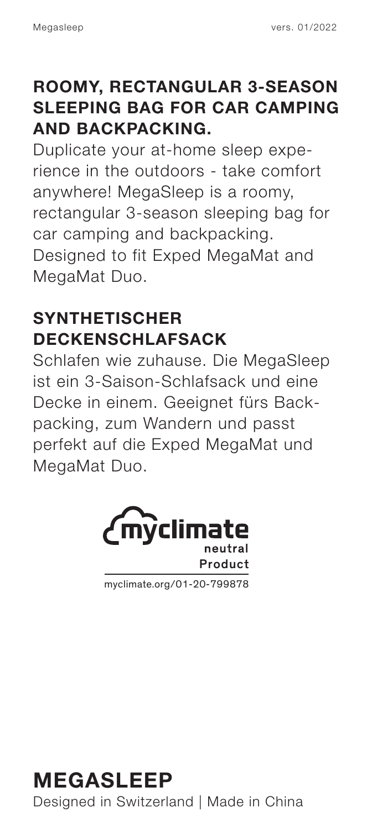#### **ROOMY, RECTANGULAR 3-SEASON SLEEPING BAG FOR CAR CAMPING AND BACKPACKING.**

Duplicate your at-home sleep experience in the outdoors - take comfort anywhere! MegaSleep is a roomy, rectangular 3-season sleeping bag for car camping and backpacking. Designed to fit Exped MegaMat and MegaMat Duo.

#### **SYNTHETISCHER DECKENSCHLAFSACK**

Schlafen wie zuhause. Die MegaSleep ist ein 3-Saison-Schlafsack und eine Decke in einem. Geeignet fürs Backpacking, zum Wandern und passt perfekt auf die Exped MegaMat und MegaMat Duo.



myclimate.org/01-20-799878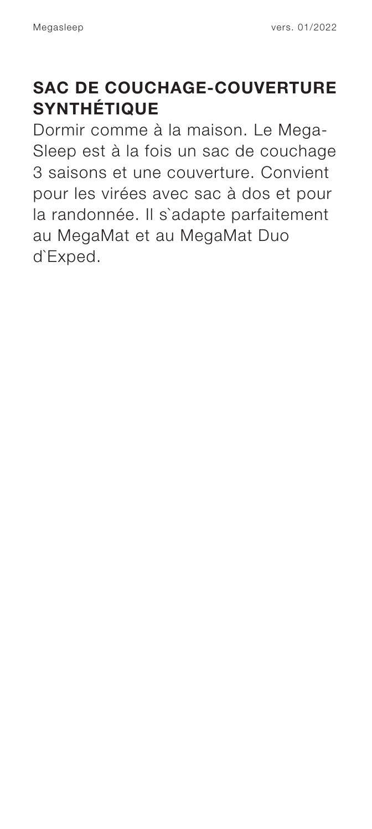#### **SAC DE COUCHAGE-COUVERTURE SYNTHÉTIQUE**

Dormir comme à la maison. Le Mega-Sleep est à la fois un sac de couchage 3 saisons et une couverture. Convient pour les virées avec sac à dos et pour la randonnée. Il s`adapte parfaitement au MegaMat et au MegaMat Duo d`Exped.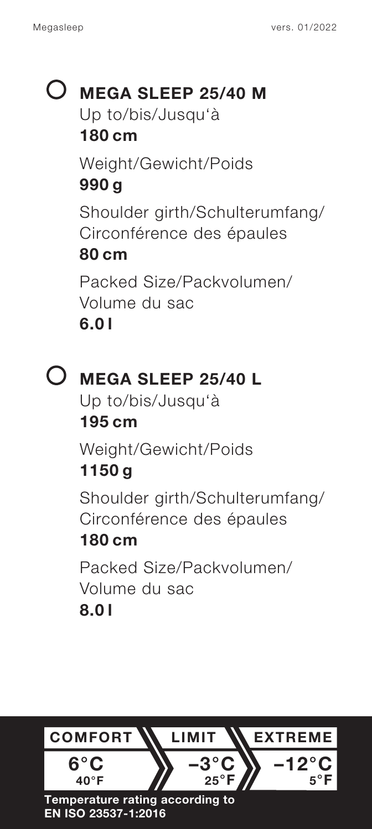# **MEGA SLEEP 25/40 M**

Up to/bis/Jusqu'à

### **180 cm**

Weight/Gewicht/Poids **990 g** Shoulder girth/Schulterumfang/ Circonférence des épaules

#### **80 cm**

Packed Size/Packvolumen/ Volume du sac **6.0 l**

# **MEGA SLEEP 25/40 L**

Up to/bis/Jusqu'à **195 cm**

Weight/Gewicht/Poids

# **1150 g**

Shoulder girth/Schulterumfang/ Circonférence des épaules

## **180 cm**

Packed Size/Packvolumen/ Volume du sac **8.0 l**

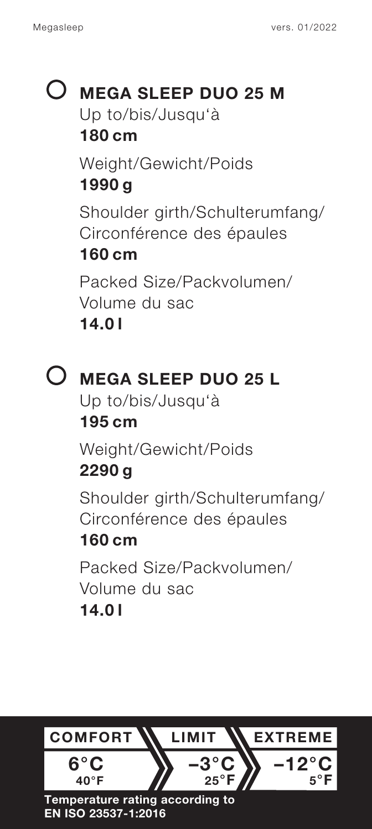## **MEGA SLEEP DUO 25 M** Up to/bis/Jusqu'à **180 cm** Weight/Gewicht/Poids **1990 g** Shoulder girth/Schulterumfang/

Circonférence des épaules **160 cm**

Packed Size/Packvolumen/ Volume du sac **14.0 l**



# **MEGA SLEEP DUO 25 L**

Up to/bis/Jusqu'à **195 cm**

Weight/Gewicht/Poids **2290 g**

Shoulder girth/Schulterumfang/ Circonférence des épaules

## **160 cm**

Packed Size/Packvolumen/ Volume du sac **14.0 l**

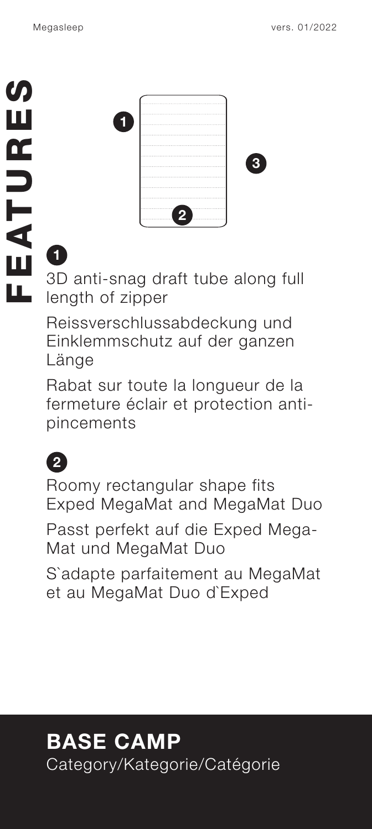**1**

| 1111<br>-----------------------------                   |  |
|---------------------------------------------------------|--|
| <br>********************************                    |  |
| ************************************<br>                |  |
|                                                         |  |
| 1110000<br><b>888888888888888888888888888888888888</b>  |  |
| <b>ALCOHOL</b><br><b><i>BRESSORIESEESSEESSEESSE</i></b> |  |
|                                                         |  |
|                                                         |  |
|                                                         |  |
|                                                         |  |
| ----------------<br>------------                        |  |
|                                                         |  |

3D anti-snag draft tube along full length of zipper

Reissverschlussabdeckung und Einklemmschutz auf der ganzen Länge

Rabat sur toute la longueur de la fermeture éclair et protection antipincements

**2** Roomy rectangular shape fits Exped MegaMat and MegaMat Duo

Passt perfekt auf die Exped Mega-Mat und MegaMat Duo

S`adapte parfaitement au MegaMat et au MegaMat Duo d`Exped

# **BASE CAMP** Category/Kategorie/Catégorie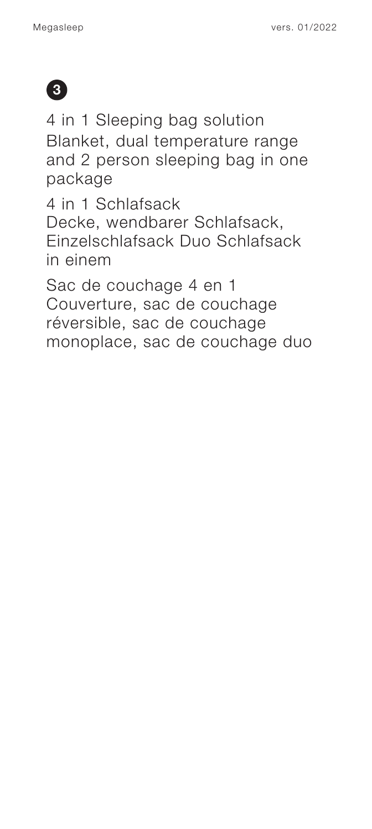

4 in 1 Sleeping bag solution Blanket, dual temperature range and 2 person sleeping bag in one package

4 in 1 Schlafsack Decke, wendbarer Schlafsack, Einzelschlafsack Duo Schlafsack in einem

Sac de couchage 4 en 1 Couverture, sac de couchage réversible, sac de couchage monoplace, sac de couchage duo